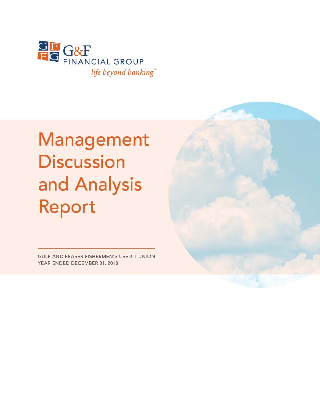

# Management **Discussion** and Analysis Report

GULF AND FRASER FISHERMEN'S CREDIT UNION YEAR ENDED DECEMBER 31, 2018

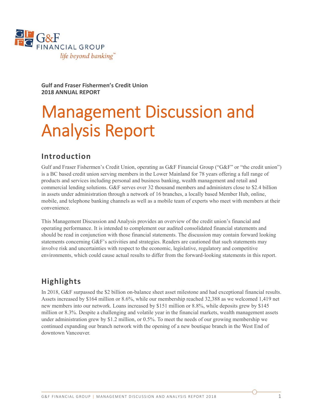

**Gulf and Fraser Fishermen's Credit Union 2018 ANNUAL REPORT** 

## Management Discussion and Analysis Report

## **Introduction**

Gulf and Fraser Fishermen's Credit Union, operating as G&F Financial Group ("G&F" or "the credit union") is a BC based credit union serving members in the Lower Mainland for 78 years offering a full range of products and services including personal and business banking, wealth management and retail and commercial lending solutions. G&F serves over 32 thousand members and administers close to \$2.4 billion in assets under administration through a network of 16 branches, a locally based Member Hub, online, mobile, and telephone banking channels as well as a mobile team of experts who meet with members at their convenience.

This Management Discussion and Analysis provides an overview of the credit union's financial and operating performance. It is intended to complement our audited consolidated financial statements and should be read in conjunction with those financial statements. The discussion may contain forward looking statements concerning G&F's activities and strategies. Readers are cautioned that such statements may involve risk and uncertainties with respect to the economic, legislative, regulatory and competitive environments, which could cause actual results to differ from the forward-looking statements in this report.

## **Highlights**

In 2018, G&F surpassed the \$2 billion on-balance sheet asset milestone and had exceptional financial results. Assets increased by \$164 million or 8.6%, while our membership reached 32,388 as we welcomed 1,419 net new members into our network. Loans increased by \$151 million or 8.8%, while deposits grew by \$145 million or 8.3%. Despite a challenging and volatile year in the financial markets, wealth management assets under administration grew by \$1.2 million, or 0.5%. To meet the needs of our growing membership we continued expanding our branch network with the opening of a new boutique branch in the West End of downtown Vancouver.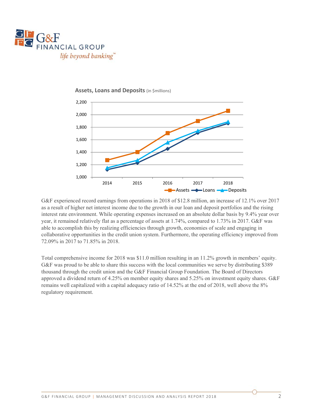





G&F experienced record earnings from operations in 2018 of \$12.8 million, an increase of 12.1% over 2017 as a result of higher net interest income due to the growth in our loan and deposit portfolios and the rising interest rate environment. While operating expenses increased on an absolute dollar basis by 9.4% year over year, it remained relatively flat as a percentage of assets at 1.74%, compared to 1.73% in 2017. G&F was able to accomplish this by realizing efficiencies through growth, economies of scale and engaging in collaborative opportunities in the credit union system. Furthermore, the operating efficiency improved from 72.09% in 2017 to 71.85% in 2018.

Total comprehensive income for 2018 was \$11.0 million resulting in an 11.2% growth in members' equity. G&F was proud to be able to share this success with the local communities we serve by distributing \$389 thousand through the credit union and the G&F Financial Group Foundation. The Board of Directors approved a dividend return of 4.25% on member equity shares and 5.25% on investment equity shares. G&F remains well capitalized with a capital adequacy ratio of 14.52% at the end of 2018, well above the 8% regulatory requirement.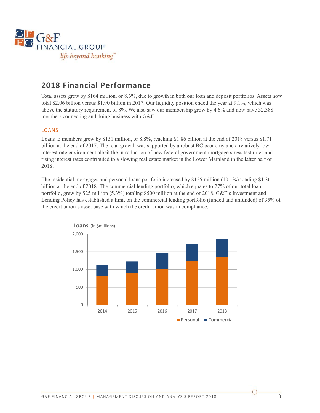

## **2018 Financial Performance**

Total assets grew by \$164 million, or 8.6%, due to growth in both our loan and deposit portfolios. Assets now total \$2.06 billion versus \$1.90 billion in 2017. Our liquidity position ended the year at 9.1%, which was above the statutory requirement of 8%. We also saw our membership grow by 4.6% and now have 32,388 members connecting and doing business with G&F.

#### LOANS

Loans to members grew by \$151 million, or 8.8%, reaching \$1.86 billion at the end of 2018 versus \$1.71 billion at the end of 2017. The loan growth was supported by a robust BC economy and a relatively low interest rate environment albeit the introduction of new federal government mortgage stress test rules and rising interest rates contributed to a slowing real estate market in the Lower Mainland in the latter half of 2018.

The residential mortgages and personal loans portfolio increased by \$125 million (10.1%) totaling \$1.36 billion at the end of 2018. The commercial lending portfolio, which equates to 27% of our total loan portfolio, grew by \$25 million (5.3%) totaling \$500 million at the end of 2018. G&F's Investment and Lending Policy has established a limit on the commercial lending portfolio (funded and unfunded) of 35% of the credit union's asset base with which the credit union was in compliance.

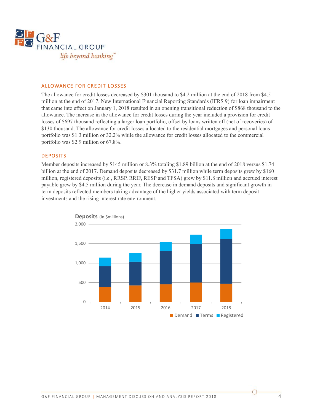

#### ALLOWANCE FOR CREDIT LOSSES

The allowance for credit losses decreased by \$301 thousand to \$4.2 million at the end of 2018 from \$4.5 million at the end of 2017. New International Financial Reporting Standards (IFRS 9) for loan impairment that came into effect on January 1, 2018 resulted in an opening transitional reduction of \$868 thousand to the allowance. The increase in the allowance for credit losses during the year included a provision for credit losses of \$697 thousand reflecting a larger loan portfolio, offset by loans written off (net of recoveries) of \$130 thousand. The allowance for credit losses allocated to the residential mortgages and personal loans portfolio was \$1.3 million or 32.2% while the allowance for credit losses allocated to the commercial portfolio was \$2.9 million or 67.8%.

#### DEPOSITS

Member deposits increased by \$145 million or 8.3% totaling \$1.89 billion at the end of 2018 versus \$1.74 billion at the end of 2017. Demand deposits decreased by \$31.7 million while term deposits grew by \$160 million, registered deposits (i.e., RRSP, RRIF, RESP and TFSA) grew by \$11.8 million and accrued interest payable grew by \$4.5 million during the year. The decrease in demand deposits and significant growth in term deposits reflected members taking advantage of the higher yields associated with term deposit investments and the rising interest rate environment.

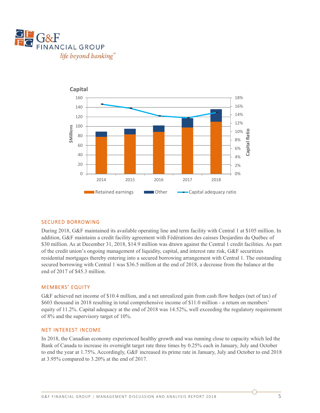



#### SECURED BORROWING

During 2018, G&F maintained its available operating line and term facility with Central 1 at \$105 million. In addition, G&F maintains a credit facility agreement with Fédérations des caisses Desjardins du Québec of \$30 million. As at December 31, 2018, \$14.9 million was drawn against the Central 1 credit facilities. As part of the credit union's ongoing management of liquidity, capital, and interest rate risk, G&F securitizes residential mortgages thereby entering into a secured borrowing arrangement with Central 1. The outstanding secured borrowing with Central 1 was \$36.5 million at the end of 2018, a decrease from the balance at the end of 2017 of \$45.3 million.

#### MEMBERS' EQUITY

G&F achieved net income of \$10.4 million, and a net unrealized gain from cash flow hedges (net of tax) of \$603 thousand in 2018 resulting in total comprehensive income of \$11.0 million - a return on members' equity of 11.2%. Capital adequacy at the end of 2018 was 14.52%, well exceeding the regulatory requirement of 8% and the supervisory target of 10%.

#### NET INTEREST INCOME

In 2018, the Canadian economy experienced healthy growth and was running close to capacity which led the Bank of Canada to increase its overnight target rate three times by 0.25% each in January, July and October to end the year at 1.75%. Accordingly, G&F increased its prime rate in January, July and October to end 2018 at 3.95% compared to 3.20% at the end of 2017.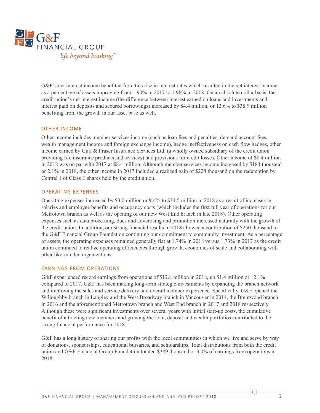

G&F's net interest income benefited from this rise in interest rates which resulted in the net interest income as a percentage of assets improving from 1.90% in 2017 to 1.96% in 2018. On an absolute dollar basis, the credit union's net interest income (the difference between interest earned on loans and investments and interest paid on deposits and secured borrowings) increased by \$4.4 million, or 12.6% to \$38.9 million benefiting from the growth in our asset base as well.

#### OTHER INCOME

Other income includes member services income (such as loan fees and penalties, demand account fees, wealth management income and foreign exchange income), hedge ineffectiveness on cash flow hedges, other income earned by Gulf & Fraser Insurance Services Ltd. (a wholly owned subsidiary of the credit union providing life insurance products and services) and provisions for credit losses. Other income of \$8.4 million in 2018 was on par with 2017 at \$8.4 million. Although member services income increased by \$184 thousand or 2.1% in 2018, the other income in 2017 included a realized gain of \$228 thousand on the redemption by Central 1 of Class E shares held by the credit union.

#### OPERATING EXPENSES

Operating expenses increased by \$3.0 million or 9.4% to \$34.5 million in 2018 as a result of increases in salaries and employee benefits and occupancy costs (which includes the first full year of operations for our Metrotown branch as well as the opening of our new West End branch in late 2018). Other operating expenses such as data processing, dues and advertising and promotion increased naturally with the growth of the credit union. In addition, our strong financial results in 2018 allowed a contribution of \$250 thousand to the G&F Financial Group Foundation continuing our commitment to community investment. As a percentage of assets, the operating expenses remained generally flat at 1.74% in 2018 versus 1.73% in 2017 as the credit union continued to realize operating efficiencies through growth, economies of scale and collaborating with other like-minded organizations.

#### EARNINGS FROM OPERATIONS

G&F experienced record earnings from operations of \$12.8 million in 2018, up \$1.4 million or 12.1% compared to 2017. G&F has been making long-term strategic investments by expanding the branch network and improving the sales and service delivery and overall member experience. Specifically, G&F opened the Willoughby branch in Langley and the West Broadway branch in Vancouver in 2014, the Brentwood branch in 2016 and the aforementioned Metrotown branch and West End branch in 2017 and 2018 respectively. Although these were significant investments over several years with initial start-up costs, the cumulative benefit of attracting new members and growing the loan, deposit and wealth portfolios contributed to the strong financial performance for 2018.

G&F has a long history of sharing our profits with the local communities in which we live and serve by way of donations, sponsorships, educational bursaries, and scholarships. Total distributions from both the credit union and G&F Financial Group Foundation totaled \$389 thousand or 3.0% of earnings from operations in 2018.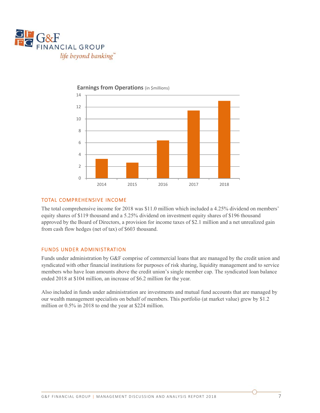



**Earnings from Operations** (in \$millions)

#### TOTAL COMPREHENSIVE INCOME

The total comprehensive income for 2018 was \$11.0 million which included a 4.25% dividend on members' equity shares of \$119 thousand and a 5.25% dividend on investment equity shares of \$196 thousand approved by the Board of Directors, a provision for income taxes of \$2.1 million and a net unrealized gain from cash flow hedges (net of tax) of \$603 thousand.

#### FUNDS UNDER ADMINISTRATION

Funds under administration by G&F comprise of commercial loans that are managed by the credit union and syndicated with other financial institutions for purposes of risk sharing, liquidity management and to service members who have loan amounts above the credit union's single member cap. The syndicated loan balance ended 2018 at \$104 million, an increase of \$6.2 million for the year.

Also included in funds under administration are investments and mutual fund accounts that are managed by our wealth management specialists on behalf of members. This portfolio (at market value) grew by \$1.2 million or 0.5% in 2018 to end the year at \$224 million.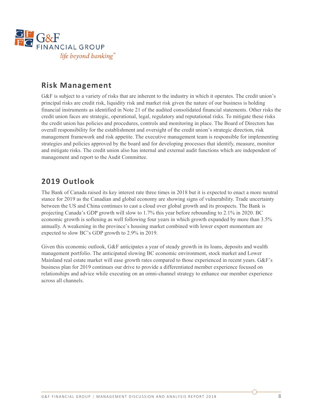

## **Risk Management**

G&F is subject to a variety of risks that are inherent to the industry in which it operates. The credit union's principal risks are credit risk, liquidity risk and market risk given the nature of our business is holding financial instruments as identified in Note 21 of the audited consolidated financial statements. Other risks the credit union faces are strategic, operational, legal, regulatory and reputational risks. To mitigate these risks the credit union has policies and procedures, controls and monitoring in place. The Board of Directors has overall responsibility for the establishment and oversight of the credit union's strategic direction, risk management framework and risk appetite. The executive management team is responsible for implementing strategies and policies approved by the board and for developing processes that identify, measure, monitor and mitigate risks. The credit union also has internal and external audit functions which are independent of management and report to the Audit Committee.

## **2019 Outlook**

The Bank of Canada raised its key interest rate three times in 2018 but it is expected to enact a more neutral stance for 2019 as the Canadian and global economy are showing signs of vulnerability. Trade uncertainty between the US and China continues to cast a cloud over global growth and its prospects. The Bank is projecting Canada's GDP growth will slow to 1.7% this year before rebounding to 2.1% in 2020. BC economic growth is softening as well following four years in which growth expanded by more than 3.5% annually. A weakening in the province's housing market combined with lower export momentum are expected to slow BC's GDP growth to 2.9% in 2019.

Given this economic outlook, G&F anticipates a year of steady growth in its loans, deposits and wealth management portfolio. The anticipated slowing BC economic environment, stock market and Lower Mainland real estate market will ease growth rates compared to those experienced in recent years. G&F's business plan for 2019 continues our drive to provide a differentiated member experience focused on relationships and advice while executing on an omni-channel strategy to enhance our member experience across all channels.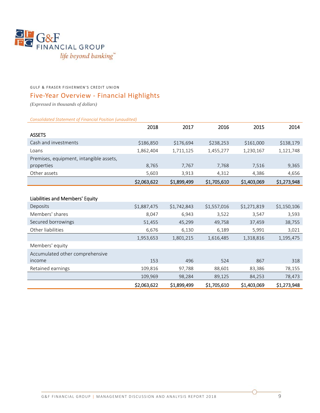

#### GULF & FRASER FISHERMEN'S CREDIT UNION

## Five‐Year Overview ‐ Financial Highlights

*(Expressed in thousands of dollars)* 

*Consolidated Statement of Financial Position (unaudited)* 

|                                         | 2018        | 2017        | 2016        | 2015        | 2014        |
|-----------------------------------------|-------------|-------------|-------------|-------------|-------------|
| <b>ASSETS</b>                           |             |             |             |             |             |
| Cash and investments                    | \$186,850   | \$176,694   | \$238,253   | \$161,000   | \$138,179   |
| Loans                                   | 1,862,404   | 1,711,125   | 1,455,277   | 1,230,167   | 1,121,748   |
| Premises, equipment, intangible assets, |             |             |             |             |             |
| properties                              | 8,765       | 7,767       | 7,768       | 7,516       | 9,365       |
| Other assets                            | 5,603       | 3,913       | 4,312       | 4,386       | 4,656       |
|                                         | \$2,063,622 | \$1,899,499 | \$1,705,610 | \$1,403,069 | \$1,273,948 |
|                                         |             |             |             |             |             |
| Liabilities and Members' Equity         |             |             |             |             |             |
| Deposits                                | \$1,887,475 | \$1,742,843 | \$1,557,016 | \$1,271,819 | \$1,150,106 |
| Members' shares                         | 8,047       | 6,943       | 3,522       | 3,547       | 3,593       |
| Secured borrowings                      | 51,455      | 45,299      | 49,758      | 37,459      | 38,755      |
| Other liabilities                       | 6,676       | 6,130       | 6,189       | 5,991       | 3,021       |
|                                         | 1,953,653   | 1,801,215   | 1,616,485   | 1,318,816   | 1,195,475   |
| Members' equity                         |             |             |             |             |             |
| Accumulated other comprehensive         |             |             |             |             |             |
| income                                  | 153         | 496         | 524         | 867         | 318         |
| Retained earnings                       | 109,816     | 97,788      | 88,601      | 83,386      | 78,155      |
|                                         | 109,969     | 98,284      | 89,125      | 84,253      | 78,473      |
|                                         | \$2,063,622 | \$1,899,499 | \$1,705,610 | \$1,403,069 | \$1,273,948 |